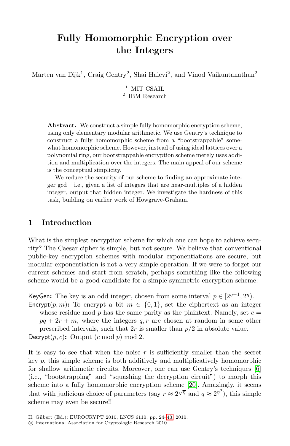# **Fully Homomorphic Encryption over the Integers**

Marten van Dijk<sup>1</sup>, Craig Gentry<sup>2</sup>, Shai Halevi<sup>2</sup>, and Vinod Vaikuntanathan<sup>2</sup>

 $^1\,$  MIT CSAIL  $<sup>2</sup>$  IBM Research</sup>

**Abstract.** We construct a simple fully homomorphic encryption scheme, using only elementary modular arithmetic. We use Gentry's technique to construct a fully homomorphic scheme from a "bootstrappable" somewhat homomorphic scheme. However, instead of using ideal lattices over a polynomial ring, our bootstrappable encryption scheme merely uses addition and multiplication over the integers. The main appeal of our scheme is the conceptual simplicity.

We reduce the security of our scheme to finding an approximate integer gcd – i.e., given a list of integers that are near-multiples of a hidden integer, output that hidden integer. We investigate the hardness of this task, building on earlier work of Howgrave-Graham.

# **1 Introduction**

What is the simplest encryption scheme for which one can hope to achieve security? The Caesar cipher is simple, but not secure. We believe that conventional public-key encryption schemes with modular exponentiations are secure, but modular exponentiation is not a very simple operation. If we were to forget our current schemes and start from scratch, perhaps something like the following scheme would be a good candidate for a simple symmetric encryption scheme:

KeyGen: The key is an odd integer, chosen from some interval  $p \in [2^{n-1}, 2^n)$ . Encrypt(p, m): To encrypt a bit  $m \in \{0, 1\}$ , set the cip[her](#page-19-0)text as an integer

whose residue mod  $p$  has the same parity as the plaintext. Namely, set  $c =$  $pq + 2r + m$ , where the intege[rs](#page-19-1) q, r are chosen at random in some other

prescribed intervals, such that  $2r$  is smaller than  $p/2$  in absolute value.

Decrypt $(p, c)$ : Output  $(c \mod p) \mod 2$ .

It is easy to see [th](#page-19-2)at when the noise  $r$  is sufficiently smaller than the secret key  $p$ , this simple scheme is both additively and multiplicatively homomorphic for shallow arithmetic circuits. Moreover, one can use Gentry's techniques [6] (i.e., "bootstrapping" and "squashing the decryption circuit") to morph this scheme into a fully homomorphic encryption scheme [20]. Amazingly, it seems that with judicious choice of parameters (say  $r \approx 2^{\sqrt{\eta}}$  and  $q \approx 2^{\eta^3}$ ), this simple scheme may even be secure!!

H. Gilbert (Ed.): EUROCRYPT 2010, LNCS 6110, pp. 24–43, 2010.

c International Association for Cryptologic Research 2010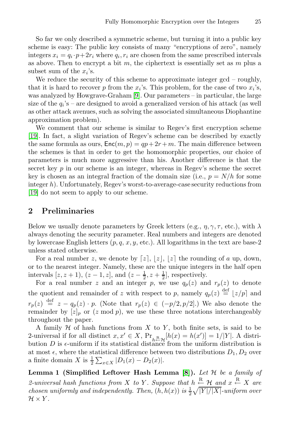So far we only [de](#page-19-3)scribed a symmetric scheme, but turning it into a public key scheme is easy: The public key consists of many "encryptions of zero", namely integers  $x_i = q_i \cdot p + 2r_i$  where  $q_i, r_i$  are chosen from the same prescribed intervals as above. Then to encrypt a bit m, the ciphertext is essentially set as  $m$  plus a subset sum of the  $x_i$ 's.

We reduce the security of this scheme to approximate integer gcd – roughly, that it is hard to recover p from the  $x_i$ 's. This problem, for the case of two  $x_i$ 's, was analyzed by Howgrave-Graham [9]. Our parameters – in particular, the large size of the  $q_i$ 's – are designed to avoid a generalized version of his attack (as well as other attack avenues, such as solving the associated simultaneous Diophantine approximation problem).

We comment that our scheme is similar to Regev's first encryption scheme [19]. In fact, a slight variation of Regev's scheme can be described by exactly the same formula as ours,  $Enc(m, p) = qp + 2r + m$ . The main difference between the schemes is that in order to get the homomorphic properties, our choice of parameters is much more aggressive than his. Another difference is that the secret key  $p$  in our scheme is an integer, whereas in Regev's scheme the secret key is chosen as an integral fraction of the domain size (i.e.,  $p = N/h$  for some integer h). Unfortunately, Regev's worst-to-average-case security reductions from [19] do not seem to apply to our scheme.

# **2 Preliminaries**

Below we usually denote parameters by Greek letters (e.g.,  $\eta$ ,  $\gamma$ ,  $\tau$ , etc.), with  $\lambda$ always denoting the security parameter. Real numbers and integers are denoted by lowercase English letters  $(p, q, x, y, \text{etc.})$ . All logarithms in the text are base-2 unless stated otherwise.

For a real number z, we denote by [z],  $|z|$ ,  $|z|$  the rounding of a up, down, or to the nearest integer. Namely, these are the unique integers in the half open intervals  $[z, z+1), (z-1, z],$  and  $(z-\frac{1}{2}, z+\frac{1}{2}],$  respectively.

For a real number z and an integer p, we use  $q_p(z)$  and  $r_p(z)$  to denote the quotient and remainder of z with respect to p, namely  $q_p(z) \stackrel{\text{def}}{=} |z/p|$  and  $r_p(z) \stackrel{\text{def}}{=} z - q_p(z) \cdot p$ . (Note that  $r_p(z) \in (-p/2, p/2]$ .) We also denote the remainder by  $[z]_p$  or  $(z \mod p)$ , [we](#page-19-4) use these three notations interchangeably throughout the paper.

A family  $H$  of hash functions from  $X$  to  $Y$ , both finite sets, is said to be 2-universal if for all distinct  $x, x' \in X$ ,  $Pr_{h \in \mathcal{H}}[h(x) = h(x')] = 1/|Y|$ . A distribution  $D$  is a uniform if its statistical distance from the uniform distribution is bution  $D$  is  $\epsilon$ -uniform if its statistical distance from the uniform distribution is at most  $\epsilon$ , where the statistical difference between two distributions  $D_1, D_2$  over a finite domain X is  $\frac{1}{2} \sum_{x \in X} |D_1(x) - D_2(x)|$ .

**Lemma 1 (Simplified Leftover Hash Lemma [8]).** Let  $H$  be a family of 2-universal hash functions from X to Y. Suppose that  $h \stackrel{R}{\leftarrow} \mathcal{H}$  and  $x \stackrel{R}{\leftarrow} X$  are *chosen uniformly and independently. Then,*  $(h, h(x))$  *is*  $\frac{1}{2}\sqrt{|Y|/|X|}$ *-uniform over*  $\mathcal{H} \times Y$ .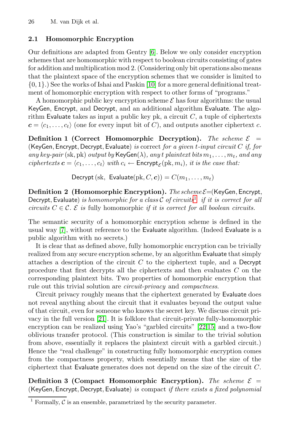## **2.1 Homomorphic Encryption**

Our definitions are adapted from Gentry [6]. Below we only consider encryption schemes that are homomorphic with respect to boolean circuits consisting of gates for addition and multiplication mod 2. (Considering only bit operations also means that the plaintext space of the encryption schemes that we consider is limited to {0, 1}.) See the works of Ishai and Paskin [10] for a more general definitional treatment of homomorphic encryption with respect to other forms of "programs."

A homomorphic public key encryption scheme  $\mathcal E$  has four algorithms: the usual KeyGen, Encrypt, and Decrypt, and an additional algorithm Evaluate. The algorithm Evaluate takes as input a public key pk, a circuit  $C$ , a tuple of ciphertexts  $c = \langle c_1, \ldots, c_t \rangle$  (one for every input bit of C), and outputs another ciphertext c.

**Definition 1 (Correct Homomo[rp](#page-2-0)hic Decryption).** The scheme  $\mathcal{E}$  = (KeyGen, Encrypt, Decrypt, Evaluate) *is* correct *for a given* t*-input circuit* C *if, for*  $any \ key\text{-}pair \ (\text{sk}, \text{pk}) \ output \ by \ \mathsf{KeyGen}(\lambda), \ any \ t \ plaintext \ bits \ m_1, \ldots, m_t, \ and \ any$  $ciphertexts$   $c = \langle c_1, \ldots, c_t \rangle$  with  $c_i \leftarrow \text{Encrypt}_{\mathcal{E}}(\text{pk}, m_i)$ *, it is the case that:* 

Decrypt (sk, Evaluate(pk,  $C, c$ )) =  $C(m_1, \ldots, m_t)$ 

**Definition 2 (Homomorphic Encryption).** *The scheme*  $\mathcal{E} =$  (KeyGen, Encrypt, Decrypt, Evaluate) *is homomorphic for a class* C *of circuits*<sup>1</sup> *if it is correct for all circuits*  $C \in \mathcal{C}$ .  $\mathcal{E}$  *is* fully homomorphic *if it is correct for all boolean circuits.* 

The semantic security of a homomorphic encryption scheme is defined in the usual way [7], without reference to the Evaluate algorithm. (Indeed Evaluate is a public algorithm with no secrets.)

It is clear that as defined above, fully homomorphic encryption can be trivially reali[zed](#page-19-6) from any secure encryption scheme, by an algorithm Evaluate that simply attaches a description of [th](#page-19-8)e circuit  $C$  [to](#page-19-7) the ciphertext tuple, and a Decrypt procedure that first decrypts all the ciphertexts and then evaluates C on the corresponding plaintext bits. Two properties of homomorphic encryption that rule out this trivial solution are *circuit-privacy* and *compactness*.

Circuit privacy roughly means that the ciphertext generated by Evaluate does not reveal anything about the circuit that it evaluates beyond the output value of that circuit, even for someone who knows the secret key. We discuss circuit privacy in the full version [21]. It is folklore that circuit-private fully-homomorphic encryption can be realized using Yao's "garbled circuits" [22,15] and a two-flow oblivious transfer protocol. (This construction is similar to the trivial solution from above, essentially it replaces the plaintext circuit with a garbled circuit.) Hence the "real challenge" in constructing fully homomorphic encryption comes from the compactness property, which essentially means that the size of the ciphertext that Evaluate generates does not depend on the size of the circuit C.

<span id="page-2-0"></span>**Definition 3 (Compact Homomorphic Encryption).** The scheme  $\mathcal{E}$  = (KeyGen, Encrypt, Decrypt, Evaluate) *is* compact *if there exists a fixed polynomial*

<sup>&</sup>lt;sup>1</sup> Formally,  $\overline{\mathcal{C}}$  is an ensemble, parametrized by the security parameter.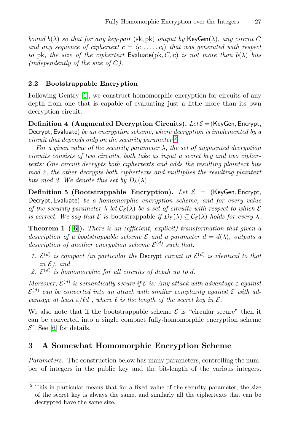<span id="page-3-1"></span>*[bo](#page-19-0)und*  $b(\lambda)$  *so that for any key-pair* (sk, pk) *output by* KeyGen( $\lambda$ )*, any circuit* C *and any sequence of ciphertext*  $\boldsymbol{c} = \langle c_1, \ldots, c_t \rangle$  that was generated with respect *to* pk, the size of the ciphertext Evaluate(pk, C, c) is not more than  $b(\lambda)$  bits *(independently of the size of* C*).*

### **2.2 Bootstrappable Encryption**

Following Gentry [6], we construct homomorphic encryption for circuits of any depth from one that is capable of evaluating just a little more than its own decryption circuit.

**Definition 4 (Augmented Decryption Circuits).** *Let*  $\mathcal{E} =$  (KeyGen, Encrypt, Decrypt, Evaluate) *be an encryption scheme, where decryption is implemented by a circuit that depends only on the security parameter.*<sup>2</sup>

*For a given value of the security parameter* λ*, the set of augmented decryption circuits consists of two circuits, both take as input a secret key and two ciphertexts: One circuit decrypts both ciphertexts and adds the resulting plaintext bits mod 2, the other decrypts both ciphertexts and multiplies the resulting plaintext bits mod 2. We denote this set by*  $D_{\mathcal{E}}(\lambda)$ *.* 

**Definition 5 (Bootstrappable Encryption).** *Let*  $\mathcal{E} =$  (KeyGen, Encrypt, Decrypt, Evaluate) *be a homomorphic encryption scheme, and for every value of the security parameter*  $\lambda$  *let*  $\mathcal{C}_{\mathcal{E}}(\lambda)$  *be a set of circuits with respect to which*  $\mathcal{E}$ *is correct. We say that*  $\mathcal{E}$  *is* bootstrappable *if*  $D_{\mathcal{E}}(\lambda) \subseteq C_{\mathcal{E}}(\lambda)$  *holds for every*  $\lambda$ *.* 

**Theorem 1 ([6]).** *There is an (efficient, explicit) transformation that given a description of a bootstrappable scheme*  $\mathcal E$  *and a parameter*  $d = d(\lambda)$ *, outputs a description of another encryption scheme*  $\mathcal{E}^{(d)}$  *such that:* 

- *1.*  $\mathcal{E}^{(d)}$  *is compact (in particular the Decrypt circuit in*  $\mathcal{E}^{(d)}$  *is identical to that in*  $\mathcal{E}$ *)*, and
- 2.  $\mathcal{E}^{(d)}$  *is homomorphic for all circuits of depth up to d.*

<span id="page-3-0"></span>*Moreover,*  $\mathcal{E}^{(d)}$  *is semantically secure if*  $\mathcal{E}$  *is: Any attack with advantage*  $\varepsilon$  *against*  $\mathcal{E}^{(d)}$  can be converted into an attack with similar complexity against  $\mathcal E$  with ad*vantage at least*  $\epsilon / \ell d$ , where  $\ell$  *is the length of the secret key in*  $\mathcal{E}$ .

We also note that if the bootstrappable scheme  $\mathcal E$  is "circular secure" then it can be converted into a single compact fully-homomorphic encryption scheme  $\mathcal{E}'$ . See [6] for details.

## **3 A Somewhat Homomorphic Encryption Scheme**

*Parameters.* The construction below has many parameters, controlling the number of integers in the public key and the bit-length of the various integers.

<sup>&</sup>lt;sup>2</sup> This in particular means that for a fixed value of the security parameter, the size of the secret key is always the same, and similarly all the ciphertexts that can be decrypted have the same size.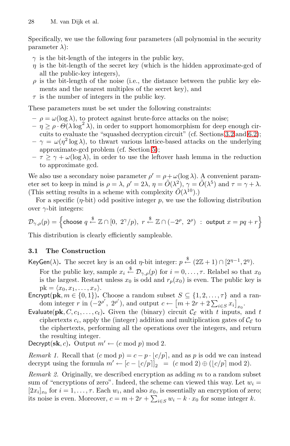Specifically, we use the following four parameters (all polynomial in the security parameter  $\lambda$ :

- $\gamma$  is the bit-length of the integers in the public key,
- $\eta$  is [the](#page-5-0) bit-length of the secret key (which is the hid[den](#page-15-0) approximate-gcd of all the public-key integers),
- $\rho$  is the bit-length of the noise (i.e., the distance between the public key elements and the nea[res](#page-11-0)t multiples of the secret key), and
- $\tau$  is the number of integers in the public key.

These parameters must be set under the following constraints:

- $-\rho = \omega(\log \lambda)$ , to protect against brute-force attacks on the noise;
- $-\eta \geq \rho \cdot \Theta(\lambda \log^2 \lambda)$ , in order to support homomorphism for deep enough circuits to evaluate the "squashed decryption circuit" (cf. Sections 3.2 and 6.2);
- $-\gamma = \omega(\eta^2 \log \lambda)$ , to thwart various lattice-based attacks on the underlying approximate-gcd problem (cf. Section 5);
- $-\tau \geq \gamma + \omega(\log \lambda)$ , in order to use the leftover hash lemma in the reduction to approximate gcd.

We also use a secondary noise parameter  $\rho' = \rho + \omega(\log \lambda)$ . A convenient parameter set to keep in mind is  $\rho = \lambda$ ,  $\rho' = 2\lambda$ ,  $\eta = \tilde{O}(\lambda^2)$ ,  $\gamma = \tilde{O}(\lambda^5)$  and  $\tau = \gamma + \lambda$ . (This setting results in a scheme with complexity  $\widetilde{O}(\lambda^{10})$ .)

For a specific  $(\eta$ -bit) odd positive integer p, we use the following distribution over  $\gamma$ -bit integers:

$$
\mathcal{D}_{\gamma,\rho}(p)=\left\{\text{choose }q\stackrel{\$}{\leftarrow}\mathbb{Z}\cap[0,\ 2^{\gamma}/p),\ r\stackrel{\$}{\leftarrow}\mathbb{Z}\cap(-2^{\rho},\ 2^{\rho})\ :\ \text{output}\ x=pq+r\right\}
$$

This distribution is clearly efficiently sampleable.

#### **3.1 The Construction**

- KeyGen( $\lambda$ ). The secret key is an odd  $\eta$ -bit integer:  $p \stackrel{\$}{\leftarrow} (2\mathbb{Z} + 1) \cap [2^{\eta-1}, 2^{\eta})$ .
- For the public key, sample  $x_i \stackrel{\$}{\leftarrow} \mathcal{D}_{\gamma,\rho}(p)$  for  $i = 0, \ldots, \tau$ . Relabel so that  $x_0$ is the largest. Restart unless  $x_0$  is odd and  $r_p(x_0)$  is even. The public key is  $pk = \langle x_0, x_1, \ldots, x_{\tau} \rangle.$
- **Encrypt(pk**,  $m \in \{0, 1\}$ ). Choose a random subset  $S \subseteq \{1, 2, ..., \tau\}$  and a random integer r in  $(-2^{\rho'}, 2^{\rho'})$ , and output  $c \leftarrow [m+2r+2\sum_{i \in S} x_i]_{x_0}$ .
- Evaluate( $\mathbf{pk}, C, c_1, \ldots, c_t$ ). Given the (binary) circuit  $\mathcal{C}_{\mathcal{E}}$  with t inputs, and t ciphertexts  $c_i$ , apply the (integer) addition and multiplication gates of  $\mathcal{C}_{\mathcal{E}}$  to the ciphertexts, performing all the operations over the integers, and return the resulting integer.

Decrypt(sk, c). Output  $m' \leftarrow (c \mod p) \mod 2$ .

*Remark 1.* Recall that  $(c \mod p) = c - p \cdot \lfloor c/p \rfloor$ , and as p is odd we can instead decrypt using the formula  $m' \leftarrow [c - \lfloor c/p \rfloor]_2 = (c \mod 2) \oplus (\lfloor c/p \rfloor \mod 2).$ 

*Remark 2.* Originally, we described encryption as adding m to a random subset sum of "encryptions of zero". Indeed, the scheme can viewed this way. Let  $w_i =$  $[2x_i]_{x_0}$  for  $i = 1, \ldots, \tau$ . Each  $w_i$ , and also  $x_0$ , is essentially an encryption of zero; its noise is even. Moreover,  $c = m + 2r + \sum_{i \in S} w_i - k \cdot x_0$  for some integer k.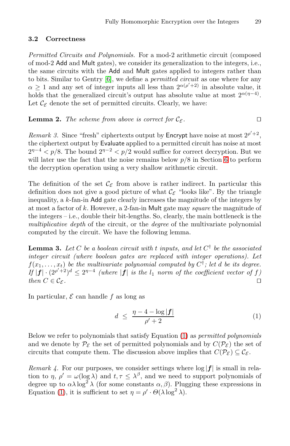## <span id="page-5-0"></span>**3.2 Correctness**

*Permitted Circuits and Polynomials.* For a mod-2 arithmetic circuit (composed of mod-2 Add and Mult gates), we consider its generalization to the integers, i.e., the same circuits with the Add and Mult gates applied to integers rather than to bits. Similar to Gentry [6], we define a *permitted circuit* as one where for any  $\alpha \geq 1$  and any set of integer inputs all less than  $2^{\alpha(\rho'+2)}$  in absolute value, it holds that the generalized circuit's output has [ab](#page-13-0)solute value at most  $2^{\alpha(\eta-4)}$ . Let  $\mathcal{C}_{\mathcal{E}}$  denote the set of permitted circuits. Clearly, we have:

**Lemma 2.** The scheme from above is correct for  $\mathcal{C}_{\mathcal{E}}$ .

*Remark 3.* Since "fresh" ciphertexts output by **Encrypt** have noise at most  $2^{p'+2}$ , the ciphertext output by Evaluate applied to a permitted circuit has noise at most  $2^{\eta-4} < p/8$ . The bound  $2^{\eta-2} < p/2$  would suffice for correct decryption. But we will later use the fact that the noise remains below  $p/8$  in Section 6 to perform the decryption operation using a very shallow arithmetic circuit.

<span id="page-5-3"></span>The definition of the set  $\mathcal{C}_{\mathcal{E}}$  from above is rather indirect. In particular this definition does not give a good picture of what  $\mathcal{C}_{\mathcal{E}}$  "looks like". By the triangle inequality, a k-fan-in Add gate clearly increases the magnitude of the integers by at most a factor of k. However, a 2-fan-in Mult gate may *square* the magnitude of the integers – i.e., double their bit-lengths. So, clearly, the main bottleneck is the *multiplicative depth* of the circuit, or the *degree* of the multivariate polynomial computed by the circuit. We have the following lemma.

<span id="page-5-1"></span>**Lemma 3.** Let C be a boolean circuit with t inputs, and let  $C^{\dagger}$  be the associated *integer circuit (where boolean gates are replaced with integer operations). Let*  $f(x_1, \ldots, x_t)$  *be the multivariate polynomial computed by*  $C^{\dagger}$ *; let d be its degree.*  $I\!f | f | \cdot (2^{p'+2})^d \leq 2^{n-4}$  $I\!f | f | \cdot (2^{p'+2})^d \leq 2^{n-4}$  $I\!f | f | \cdot (2^{p'+2})^d \leq 2^{n-4}$  *(where*  $|f|$  *is the*  $l_1$  *norm of the coefficient vector of*  $f$ *) then*  $C \in \mathcal{C}_{\mathcal{E}}$ .

<span id="page-5-2"></span>In particular,  $\mathcal E$  can handle f as long as

$$
d \leq \frac{\eta - 4 - \log|\mathbf{f}|}{\rho' + 2} \tag{1}
$$

Below we refer to polynomials that satisfy Equation (1) as *permitted polynomials* and we denote by  $\mathcal{P}_{\mathcal{E}}$  the set of permitted polynomials and by  $C(\mathcal{P}_{\mathcal{E}})$  the set of circuits that compute them. The discussion above implies that  $C(\mathcal{P}_{\mathcal{E}}) \subseteq \mathcal{C}_{\mathcal{E}}$ .

*Remark 4.* For our purposes, we consider settings where  $log|f|$  is small in relation to  $\eta$ ,  $\rho' = \omega(\log \lambda)$  and  $t, \tau \leq \lambda^{\beta}$ , and we need to support polynomials of degree up to  $\alpha\lambda \log^2 \lambda$  (for some constants  $\alpha, \beta$ ). Plugging these expressions in Equation (1), it is sufficient to set  $\eta = \rho' \cdot \Theta(\lambda \log^2 \lambda)$ .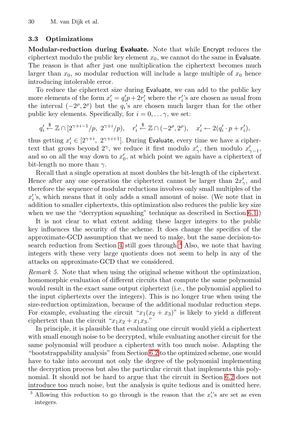## **3.3 Optimizations**

**Modular-reduction during Evaluate.** Note that while Encrypt reduces the ciphertext modulo the public key element  $x_0$ , we cannot do the same in Evaluate. The reason is that after just one multiplication the ciphertext becomes much larger than  $x_0$ , so modular reduction will include a large multiple of  $x_0$  hence introducing intolerable error.

To reduce the ciphertext size during Evaluate, we can add to the public key more elements of the form  $x_i' = q_i'p + 2r_i'$  where the  $r_i'$ 's are chosen as usual from the interval  $(-2^{\rho}, 2^{\rho})$  but the  $q_i$ 's are chosen much larger than for the other public key elements. Specifically, for  $i = 0, \ldots, \gamma$ , we set:

$$
q'_i \stackrel{\$}{\leftarrow} \mathbb{Z} \cap [2^{\gamma+i-1}/p, 2^{\gamma+i}/p), \quad r'_i \stackrel{\$}{\leftarrow} \mathbb{Z} \cap (-2^{\rho}, 2^{\rho}), \quad x'_i \leftarrow 2(q'_i \cdot p + r'_i),
$$

thus getting  $x'_i \in [2^{\gamma+i}, 2^{\gamma+i+1}]$ . During Evaluate, every time we have a cipherte[x](#page-13-1)t that grows beyond 2<sup>γ</sup>, we reduce it first modulo  $x'_{\gamma}$ , then modulo  $x'_{\gamma-1}$ , and so on all the way down to  $x'_0$ , at which point we again have a ciphertext of bit-length no more than  $\gamma$ .

Recall that a single operation at most doubles the bit-length of the ciphertext. Hence [a](#page-7-0)fter any one operation [th](#page-6-0)e ciphertext cannot be larger than  $2x'_{\gamma}$ , and therefore the sequence of modular reductions involves only small multiples of the  $x_i$ 's, which means that it only adds a small amount of noise. (We note that in addition to smaller ciphertexts, this optimization also reduces the public key size when we use the "decryption squashing" technique as described in Section 6.1.)

It is not clear to what extent adding these larger integers to the public key influences the security of the scheme. It does change the specifics of the approximate-GCD assumption that we need to make, but the same decision-tosearch reduction from Section 4 still goes through.<sup>3</sup> Also, we note that having integers with these very large quotients does not seem to help in any of the attacks on approximate-GCD that we considered.

*Remark 5.* Note that when using the original scheme without the optimization, homomorphic evaluation of different circuits that compute the same polynomial would result in the ex[act s](#page-15-0)ame output ciphertext (i.e., the polynomial applied to the input ciphertexts over the integers). This is no longer true when using the size-reduction optimization, because of the additional modular reduction steps. For example, evaluating the circuit " $x_1(x_2 + x_3)$ " is likely to yield a different ciphertext than the circuit " $x_1x_2 + x_1x_3$ ."

<span id="page-6-0"></span>In principle, it is plausible that evaluating one circuit would yield a ciphertext with small enough noise to be decrypted, while evaluating another circuit for the same polynomial will produce a ciphertext with too much noise. Adapting the "bootstrappability analysis" from Section 6.2 to the optimized scheme, one would have to take into account not only the degree of the polynomial implementing the decryption process but also the particular circuit that implements this polynomial. It should not be hard to argue that the circuit in Section 6.2 does not introduce too much noise, but the analysis is quite tedious and is omitted here.

<sup>&</sup>lt;sup>3</sup> Allowing this reduction to go through is the reason that the  $x_i$ 's are set as even integers.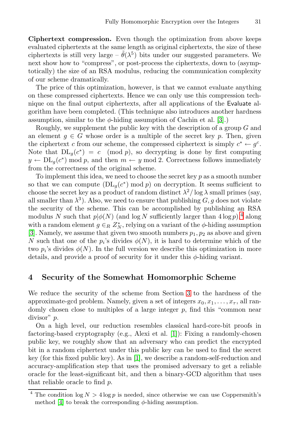**Ciphertext compression.** Even though the optimization from above keeps evaluated ciphertexts at the same length as original ciphertexts, the size of these ciphertexts is still very large –  $\theta(\lambda^5)$  bits un[der](#page-19-9) our suggested parameters. We next show how to "compress", or post-process the ciphertexts, down to (asymptotically) the size of an RSA modulus, reducing the communication complexity of our scheme dramatically.

The price of this optimization, however, is that we cannot evaluate anything on these compressed ciphertexts. Hence we can only use this compression technique on the final output ciphertexts, after all applications of the Evaluate algorithm have been completed. (This technique also introduces another hardness assumption, similar to the  $\phi$ -hiding assumption of Cachin et al. [3].)

Roughly, we supplement the public key with the description of a group G and an element  $g \in G$  whose order is a multiple of the secret key p. Then, given the ciphertext c from our scheme, the compressed ciphertext is simply  $c^* \leftarrow g^c$ . Note that  $DL_q(c^*) = c \pmod{p}$ , [s](#page-7-1)o decrypting is done by first computing  $y \leftarrow DL_q(c^*) \mod p$ , and then  $m \leftarrow y \mod 2$ . Correctness follows immediately from the correctness of the original scheme.

<span id="page-7-0"></span>To implement this idea, we need to choose the secret key  $p$  as a smooth number so that we can compute  $(DL_q(c^*))$  mod p) on decryption. It seems sufficient to choose the secret key as a product of random distinct  $\lambda^2/\log \lambda$  small primes (say, all smaller than  $\lambda^3$ ). Also, we need to ensure that publishing  $G, g$  does not violate the security of the scheme. This can be accomplished by publishing an RSA modulus N such that  $p\phi(N)$  (and log N sufficiently larger than  $4\log p$ ),<sup>4</sup> along with a random element  $g \in_R Z_N^*$ , relying on a variant of the  $\phi$ -hiding assumption [3]. Namely, we assume that given t[wo](#page-3-0) smooth numbers  $p_1, p_2$  as above and given N such that one of the  $p_i$ 's divides  $\phi(N)$ , it is hard to determine which of the two  $p_i$ 's divides  $\phi(N)$ . In the full version we describe this optimization in more details, and provide a proof of security for it under this  $\phi$ -hiding variant.

## **4 Security of the So[m](#page-18-0)ewhat Homomorphic Scheme**

We reduce the s[ecu](#page-18-0)rity of the scheme from Section 3 to the hardness of the approximate-gcd problem. Namely, given a set of integers  $x_0, x_1, \ldots, x_{\tau}$ , all randomly chosen close to multiples of a large integer  $p$ , find this "common near divisor" p.

<span id="page-7-1"></span>On a high level, our reduction resembles classical hard-core-bit proofs in factoring-based cryptography (e.g., Alexi et al. [1]): Fixing a randomly-chosen public key, we roughly show that an adversary who can predict the encrypted bit in a random ciphertext under this public key can be used to find the secret key (for this fixed public key). As in [1], we describe a random-self-reduction and accuracy-amplification step that uses the promised adversary to get a reliable oracle for the least-significant bit, and then a binary-GCD algorithm that uses that reliable oracle to find p.

The condition  $\log N > 4 \log p$  is needed, since otherwise we can use Coppersmith's method [4] to break the corresponding  $\phi$ -hiding assumption.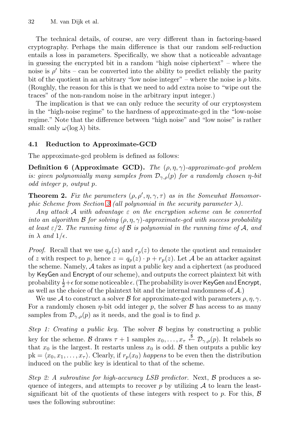The technical details, of course, are very different than in factoring-based cryptography. Perhaps the main difference is that our random self-reduction entails a loss in parameters. Specifically, we show that a noticeable advantage in guessing the encrypted bit in a random "high noise ciphertext" – where the noise is  $\rho'$  bits – can be converted into the ability to predict reliably the parity bit of the quotient in an arbitrary "low noise integer" – where the noise is  $\rho$  bits. (Roughly, the reason for this is that we need to add extra noise to "wipe out the traces" of the non-random noise in the arbitrary input integer.)

The implication is that we can only reduce the security of our cryptosystem in the "high-noise regime" to the hardness of approximate-gcd in the "low-noise regime." Note that the difference between "high noise" and "low noise" is rather small: only  $\omega(\log \lambda)$  bits.

#### **4.1 [Re](#page-3-0)duction to Approximate-GCD**

The approximate-gcd problem is defined as follows:

**Definition 6 (Approximate GCD).** *The* (ρ, η, γ)*-approximate-gcd problem is: given polynomially many samples from*  $\mathcal{D}_{\gamma,\rho}(p)$  *for a randomly chosen*  $\eta$ -bit *odd integer* p*, output* p*.*

**Theorem 2.** Fix the parameters  $(\rho, \rho', \eta, \gamma, \tau)$  as in the Somewhat Homomor*phic Scheme from Section 3 (all polynomial in the security parameter* λ*).*

*Any attack* A *with advantage* ε *on the encryption scheme can be converted into an algorithm* B *for solving* (ρ, η, γ)*-approximate-gcd with success probability at least*  $\epsilon/2$ *. The running time of*  $\beta$  *is polynomial in the running time of*  $\mathcal{A}$ *, and in*  $\lambda$  *and*  $1/\epsilon$ *.* 

*Proof.* Recall that we use  $q_p(z)$  and  $r_p(z)$  to denote the quotient and remainder of z with respect to p, hence  $z = q_p(z) \cdot p + r_p(z)$ . Let A be an attacker against the scheme. Namely, A takes as input a public key and a ciphertext (as produced by KeyGen and Encrypt of our scheme), and outputs the correct plaintext bit with probability  $\frac{1}{2}+\epsilon$  for some noticeable  $\epsilon$ . (The probability is over <code>KeyGen</code> and <code>Encrypt</code>, as well as the choice of the plaintext bit and the internal randomness of A.)

We use A to construct a solver B for approximate-gcd with parameters  $\rho, \eta, \gamma$ . For a randomly chosen  $\eta$ -bit odd integer p, the solver B has access to as many samples from  $\mathcal{D}_{\gamma,\rho}(p)$  as it needs, and the goal is to find p.

*Step 1: Creating a public key.* The solver  $\beta$  begins by constructing a public key for the scheme. B draws  $\tau + 1$  samples  $x_0, \ldots, x_{\tau} \stackrel{\$}{\leftarrow} \mathcal{D}_{\gamma,\rho}(p)$ . It relabels so that  $x_0$  is the largest. It restarts unless  $x_0$  is odd. B then outputs a public key  $pk = \langle x_0, x_1, \ldots, x_{\tau} \rangle$ . Clearly, if  $r_p(x_0)$  *happens* to be even then the distribution induced on the public key is identical to that of the scheme.

*Step 2: A subroutine for high-accuracy LSB predictor.* Next, B produces a sequence of integers, and attempts to recover p by utilizing  $\mathcal A$  to learn the leastsignificant bit of the quotients of these integers with respect to p. For this,  $\beta$ uses the following subroutine: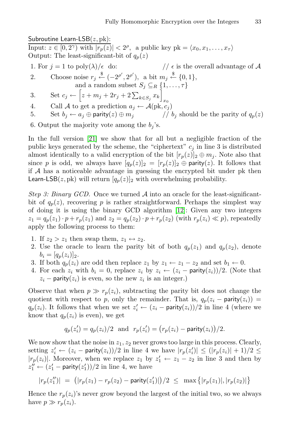Subroutine Learn-LSB $(z, \text{pk})$ :

Input:  $z \in [0, 2^{\gamma})$  with  $|r_p(z)| < 2^{\rho}$ , a public key pk =  $\langle x_0, x_1, \ldots, x_{\tau} \rangle$ Output: The least-significant-bit of  $q_p(z)$ 

- 1. For  $j = 1$  to  $poly(\lambda)/\epsilon$  do:  $\ell / \epsilon$  is the overall advantage of A [2.](#page-19-6) Choose noise  $r_j \stackrel{\$}{\leftarrow} (-2^{\rho'}, 2^{\rho'}),$  a bit  $m_j \stackrel{\$}{\leftarrow} \{0, 1\},$ and a random subset  $S_j \subseteq_R \{1, \ldots, \tau\}$
- 3. Set  $c_j \leftarrow \left[ z + m_j + 2r_j + 2\sum_{k \in S_j} x_k \right]$  $x_0$
- 4. Call A to get a prediction  $a_j \leftarrow \mathcal{A}(\text{pk}, c_j)$
- 5. Set  $b_j \leftarrow a_j \oplus$  parity $(z) \oplus m_j$  //  $b_j$  should be the parity of  $q_p(z)$

6. Output the majority vote among the  $b_i$ 's.

In the full version [21] we show that for all but a negligible fraction of the public keys generated by the sc[hem](#page-19-10)e, the "ciphertext"  $c_j$  in line 3 is distributed almost identically to a valid encryption of the bit  $[r_p(z)]_2 \oplus m_j$ . Note also that since p is odd, we always have  $[q_p(z)]_2 = [r_p(z)]_2 \oplus$  parity(z). It follows that if  $A$  has a noticeable advantage in guessing the encrypted bit under pk then Learn-LSB(z, pk) will return  $[q_p(z)]_2$  with overwhelming probability.

*Step 3: Binary GCD.* Once we turned A into an oracle for the least-significantbit of  $q_p(z)$ , recovering p is rather straightforward. Perhaps the simplest way of doing it is using the binary GCD algorithm [12]: Given any two integers  $z_1 = q_p(z_1) \cdot p + r_p(z_1)$  and  $z_2 = q_p(z_2) \cdot p + r_p(z_2)$  (with  $r_p(z_i) \ll p$ ), repeatedly apply the following process to them:

- 1. If  $z_2 > z_1$  then swap them,  $z_1 \leftrightarrow z_2$ .
- 2. Use the oracle to learn the parity bit of both  $q_p(z_1)$  and  $q_p(z_2)$ , denote  $b_i = [q_p(z_i)]_2.$
- 3. If both  $q_p(z_i)$  are odd then replace  $z_1$  by  $z_1 \leftarrow z_1 z_2$  and set  $b_1 \leftarrow 0$ .
- 4. For each  $z_i$  with  $b_i = 0$ , replace  $z_i$  by  $z_i \leftarrow (z_i \text{parity}(z_i))/2$ . (Note that  $z_i$  – parity( $z_i$ ) is even, so the new  $z_i$  is an integer.)

Observe that when  $p \gg r_p(z_i)$ , subtracting the parity bit does not change the quotient with respect to p, only the remainder. That is,  $q_p(z_i - \text{parity}(z_i)) =$  $q_p(z_i)$ . It follows that when we set  $z'_i \leftarrow (z_i - \text{parity}(z_i))/2$  in line 4 (where we know that  $q_p(z_i)$  is even), we get

$$
q_p(z'_i) = q_p(z_i)/2 \text{ and } r_p(z'_i) = (r_p(z_i) - \text{parity}(z_i))/2.
$$

We now show that the noise in  $z_1, z_2$  never grows too large in this process. Clearly, setting  $z_i' \leftarrow (z_i - \textsf{parity}(z_i))/2$  in line 4 we have  $|r_p(z_i')| \leq (|r_p(z_i)| + 1)/2 \leq$  $|r_p(z_i)|$ . Moreover, when we replace  $z_1$  by  $z'_1 \leftarrow z_1 - z_2$  in line 3 and then by  $z_1'' \leftarrow (z_1' - \mathsf{parity}(z_1'))/2$  in line 4, we have

$$
|r_p(z_1'')| = (|r_p(z_1) - r_p(z_2) - \text{parity}(z_1')|)/2 \leq \max\{|r_p(z_1)|, |r_p(z_2)|\}
$$

Hence the  $r_p(z_i)$ 's never grow beyond the largest of the initial two, so we always have  $p \gg r_p(z_i)$ .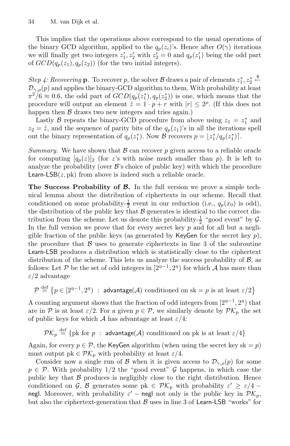This implies that the operations above correspond to the usual operations of the binary GCD algorithm, applied to the  $q_p(z_i)$ 's. Hence after  $O(\gamma)$  iterations we will finally get two integers  $z'_1, z'_2$  with  $z'_2 = 0$  and  $q_p(z'_1)$  being the odd part of  $GCD(q_p(z_1), q_p(z_2))$  (for the two initial integers).

*Step 4: Recovering* **p***.* To recover p, the solver B draws a pair of elements  $z_1^*, z_2^*$  $\xleftarrow{\$}$  $\mathcal{D}_{\gamma,\rho}(p)$  and applies the binary-GCD algorithm to them. With probability at least  $\pi^2/6 \approx 0.6$ , the odd part of  $GCD(q_p(z_1^*), q_p(z_2^*))$  is one, which means that the procedure will output an element  $\tilde{z} = 1 \cdot p + r$  with  $|r| \leq 2^{\rho}$ . (If this does not happen then  $\beta$  draws two new integers and tries again.)

Lastly B repeats the binary-GCD procedure from above using  $z_1 = z_1^*$  and  $z_2 = \tilde{z}$ , and the sequence of parity bits of the  $q_p(z_1)$ 's in all the iterations spell out the binary representation of  $q_p(z_1^*)$ . Now B recovers  $p = \lfloor z_1^* / q_p(z_1^*) \rfloor$ .

*Summary.* We have shown that  $\beta$  can recover  $p$  given access to a reliable oracle for computing  $[q_p(z)]_2$  (for z's with noise much smaller than p). It is left to analyze the probability (over  $\mathcal{B}'$ 's choice of public key) with which the procedure Learn-LSB $(z, pk)$  from above is indeed such a reliable oracle.

**The Success Probability of** *B***.** In the full version we prove a simple technical lemma about the distribution of ciphertexts in our scheme. Recall that conditioned on some probability- $\frac{1}{2}$  event in our reduction (i.e.,  $q_p(x_0)$  is odd), the distribution of the public key that  $\beta$  generates is identical to the correct distribution from the scheme. Let us denote this probability- $\frac{1}{2}$  "good event" by  $\mathcal{G}$ . In the full version we prove that for every secret key  $p$  and for all but a negligible fraction of the public keys (as generated by KeyGen for the secret key  $p$ ), the procedure that  $\beta$  uses to generate ciphertexts in line 3 of the subroutine Learn-LSB produces a distribution which is statistically close to the ciphertext distribution of the scheme. This lets us analyze the success probability of  $\mathcal{B}$ , as follows: Let P be the set of odd integers in  $[2^{n-1}, 2^n]$  for which A has more than  $\varepsilon/2$  advantage

 $\mathcal{P} \stackrel{\text{def}}{=} \{p \in [2^{n-1}, 2^n) \; : \; \text{advantage}(\mathcal{A}) \text{ conditioned on sk} = p \text{ is at least } \varepsilon/2 \}$ 

A counting argument shows that the fraction of odd integers from  $[2<sup>{\eta-1}</sup>, 2<sup>{\eta}</sup>)$  that are in P is at least  $\varepsilon/2$ . For a given  $p \in \mathcal{P}$ , we similarly denote by  $\mathcal{PK}_p$  the set of public keys for which  $A$  has advantage at least  $\varepsilon/4$ :

 $\mathcal{PK}_p \stackrel{\text{def}}{=} \{\text{pk for } p \; : \; \textsf{advantage}(\mathcal{A}) \text{ conditioned on pk is at least } \varepsilon/4\}$ 

Again, for every  $p \in \mathcal{P}$ , the KeyGen algorithm (when using the secret key sk = p) must output pk  $\in \mathcal{PK}_p$  with probability at least  $\varepsilon/4$ .

Consider now a single run of B when it is given access to  $\mathcal{D}_{\gamma,\rho}(p)$  for some  $p \in \mathcal{P}$ . With probability 1/2 the "good event" G happens, in which case the public key that  $\beta$  produces is negligibly close to the right distribution. Hence conditioned on G, B generates some pk  $\in \mathcal{PK}_p$  with probability  $\varepsilon' \geq \varepsilon/4$  – negl. Moreover, with probability  $\varepsilon'$  – negl not only is the public key in  $\mathcal{PK}_n$ , but also the ciphertext-generation that  $\beta$  uses in line 3 of Learn-LSB "works" for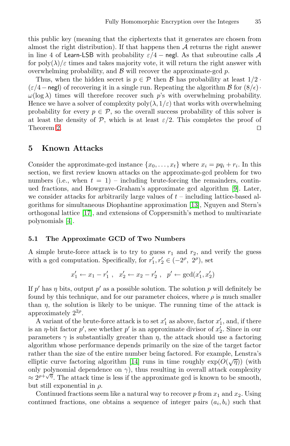this public key (meaning that the ciphertexts that it generates are chosen from almost the right distribution). If that happens then  $A$  returns the right answer in line 4 of Learn-LSB with probability  $\varepsilon/4$  – negl. As that subroutine calls A for  $\text{poly}(\lambda)/\varepsilon$  times and takes majority vote, it will return the right answer with overwhelming probability, and  $\beta$  will recover the approximate-gcd p.

<span id="page-11-0"></span>Thus, when the hidden secret is  $p \in \mathcal{P}$  then  $\mathcal{B}$  has probability at least  $1/2$ .  $(\varepsilon/4 - \text{negl})$  of recovering it in a single run. Repeating the algorithm B for  $(8/\varepsilon)$ ·  $\omega(\log \lambda)$  times will therefore recover such p's with overwhelming probability. Hence we have a solver of complexity  $poly(\lambda, 1/\varepsilon)$  that works with overwhelming probability for every  $p \in \mathcal{P}$ , so the overall success probability of this solver is at least the density of P, which is at least  $\varepsilon/2$ . This completes the proof of Theorem 2.

## **[5](#page-19-11) Known Attacks**

Consider the approximate-gcd instance  $\{x_0, \ldots, x_t\}$  where  $x_i = pq_i + r_i$ . In this section, we first review known attacks on the approximate-gcd problem for two numbers (i.e., when  $t = 1$ ) – including brute-forcing the remainders, continued fractions, and Howgrave-Graham's approximate gcd algorithm [9]. Later, we consider attacks for arbitrarily large values of  $t$  – including lattice-based algorithms for simultaneous Diophantine approximation [13], Nguyen and Stern's orthogonal lattice [17], and extensions of Coppersmith's method to multivariate polynomials [4].

#### **5.1 The Approximate GCD of Two Numbers**

A simple brute-force attack is to try to guess  $r_1$  and  $r_2$ , and verify the guess with a gcd computation. Specifically, for  $r'_1, r'_2 \in (-2^{\rho}, 2^{\rho}),$  set

 $x'_1 \leftarrow x_1 - r'_1$ ,  $x'_2 \leftarrow x_2 - r'_2$ ,  $p' \leftarrow \gcd(x'_1, x'_2)$ 

If p' has  $\eta$  bits, output p' as a possible solution. The solution p will definitely be found by this te[chn](#page-19-12)ique, and for our parameter choices, where  $\rho$  is much smaller than  $\eta$ , the solution is likely to be unique. The running time of the attack is approximately  $2^{2\rho}$ .

A variant of the brute-force attack is to set  $x'_1$  as above, factor  $x'_1$ , and, if there is an  $\eta$ -bit factor  $p'$ , see whether  $p'$  is an approximate divisor of  $x'_2$ . Since in our parameters  $\gamma$  is substantially greater than  $\eta$ , the attack should use a factoring algorithm whose performance depends primarily on the size of the target factor rather than the size of the entire number being factored. For example, Lenstra's elliptic curve factoring algorithm [14] runs in time roughly  $\exp(O(\sqrt{\eta}))$  (with only polynomial dependence on  $\gamma$ ), thus resulting in overall attack complexity  $\approx 2^{\rho + \sqrt{\eta}}$ . The attack time is less if the approximate gcd is known to be smooth, but still exponential in  $\rho$ .

Continued fractions seem like a natural way to recover  $p$  from  $x_1$  and  $x_2$ . Using continued fractions, one obtains a sequence of integer pairs  $(a_i, b_i)$  such that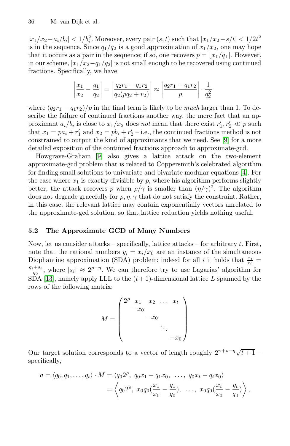$|x_1/x_2 - a_i/b_i| < 1/b_i^2$ . Moreover, every pair  $(s, t)$  such that  $|x_1/x_2 - s/t| < 1/2t^2$ is in the sequence. Since  $q_1/q_2$  is a good approximation of  $x_1/x_2$ , one may hope that it occurs as a pair in the sequence; if so, one recovers  $p = |x_1/q_1|$ . However, in our scheme,  $|x_1/x_2-q_1/q_2|$  is not small enough to be recovered using continued fractions. Specifically, we have

$$
\left|\frac{x_1}{x_2} - \frac{q_1}{q_2}\right| = \left|\frac{q_2r_1 - q_1r_2}{q_2(pq_2 + r_2)}\right| \approx \left|\frac{q_2r_1 - q_1r_2}{p}\right| \cdot \frac{1}{q_2^2}
$$

where  $\left(\frac{q_2r_1 - q_1r_2}{p \ln \theta} \right)$  in the final term is likely to be *[mu](#page-19-13)ch* larger than 1. To describe the failure of continued fractions another way, the mere fact that an approximant  $a_i/b_i$  is close to  $x_1/x_2$  does *not* mean that there exist  $r'_1, r'_2 \ll p$  such that  $x_1 = pa_i + r'_1$  and  $x_2 = pb_i + r'_2$  – i.e., the continued fractions method is not constrained to output the kind of approximants that we need. See [9] for a more detailed exposition of the continued fractions approach to approximate-gcd.

Howgrave-Graham [9] also gives a lattice attack on the two-element approximate-gcd problem that is related to Coppersmith's celebrated algorithm for finding small solutions to univariate and bivariate modular equations [4]. For the case where  $x_1$  is exactly divisible by  $p$ , where his algorithm performs slightly better, the attack recovers p when  $\rho/\gamma$  is smaller than  $(\eta/\gamma)^2$ . The algorithm does not degrade gracefully for  $\rho$ ,  $\eta$ ,  $\gamma$  that do not satisfy the constraint. Rather, in this case, the relevant lattice may contain exponentially vectors unrelated to the approximate-gcd solution, so that lattice reduction yields nothing useful.

## **5.2 The Approximate GCD of Many Numbers**

Now, let us consider attacks – specifically, lattice attacks – for arbitrary  $t$ . First, note that the rational numbers  $y_i = x_i/x_0$  are an instance of the simultaneous Diophantine approximation (SDA) problem: indeed for all i it holds that  $\frac{x_i}{x_0} = \frac{q_i + s_i}{x_0}$  where  $|s_i| \approx 2^{\rho - \eta}$  We can therefore try to use Lagarias' algorithm for  $\frac{q_i+s_i}{q_0}$ , where  $|s_i| \approx 2^{\rho-\eta}$ . We can therefore try to use Lagarias' algorithm for  $S\overrightarrow{DA}$  [13], namely apply LLL to the  $(t+1)$ -dimensional lattice L spanned by the rows of the following matrix:

$$
M = \begin{pmatrix} 2^{\rho} & x_1 & x_2 & \dots & x_t \\ -x_0 & & & \\ & -x_0 & & \\ & & \ddots & \\ & & & -x_0 \end{pmatrix}
$$

Our target solution corresponds to a vector of length roughly  $2^{\gamma+\rho-\eta}\sqrt{t+1}$  – specifically,

$$
\mathbf{v} = \langle q_0, q_1, \dots, q_t \rangle \cdot M = \langle q_0 2^{\rho}, q_0 x_1 - q_1 x_0, \dots, q_0 x_t - q_t x_0 \rangle
$$
  
=  $\left\langle q_0 2^{\rho}, x_0 q_0 \left( \frac{x_1}{x_0} - \frac{q_1}{q_0} \right), \dots, x_0 q_0 \left( \frac{x_t}{x_0} - \frac{q_t}{q_0} \right) \right\rangle$ ,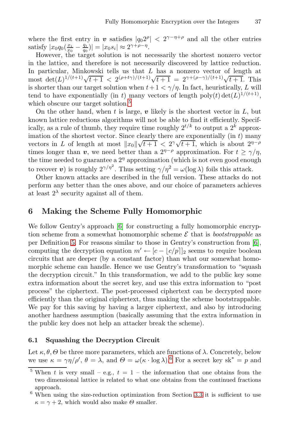where the firs[t e](#page-13-2)ntry in *v* satisfies  $|q_0 2^{\rho}| < 2^{\gamma - \eta + \rho}$  and all the other entries satisfy  $|x_0 q_0(\frac{x_i}{x_0} - \frac{q_i}{q_0})| = |x_0 s_i| \approx 2^{\gamma + \rho - \eta}.$ 

However, the target solution is not necessarily the shortest nonzero vector in the lattice, and therefore is not necessarily discovered by lattice reduction. In particular, Minkowski tells us that L has a nonzero vector of length at most det(L)<sup>1/(t+1</sup>) $\sqrt{t+1}$  < 2<sup>(ρ+tγ</sup>)/<sup>(t+1</sup>) $\sqrt{t+1}$  = 2<sup>γ+(ρ-γ</sup>)/<sup>(t+1</sup>) $\sqrt{t+1}$ . This is shorter than our target solution when  $t + 1 < \gamma/n$ . In fact, heuristically, L will tend to have exponentially (in t) many vectors of length poly(t) det(L)<sup>1/(t+1)</sup>, which obscure our target solution.<sup>5</sup>

<span id="page-13-0"></span>On the other hand, when  $t$  is large,  $v$  likely is the shortest vector in  $L$ , but known lattice reductions algorithms will not be able to find it efficiently. Specifically, as a rule of thumb, they require time roughly  $2^{t/k}$  to output a  $2^{k}$  approximation of the shortest vector. Since clearly there are exponentially  $(in t)$  many mation of the shortest vector. Since clearly there are exponentially (in t) many<br>vectors in L of length at most  $||x_0||\sqrt{t+1} < 2^{\gamma}\sqrt{t+1}$ , which is about  $2^{\eta-\rho}$ times longer than *v*, we need better than a  $2^{\eta-\rho}$  approximation. For  $t \ge \gamma/\eta$ , the time ne[ed](#page-19-0)ed to guarantee a  $2<sup>\eta</sup>$  approximation (which is not even good enough to recover *v*) is roughly  $2^{\gamma/\eta^2}$ . Thus setting  $\gamma/\eta^2 = \omega(\log \lambda)$  foils this attack.

Other known attacks are described in the full version. [T](#page-19-0)hese attacks do not perform any better than the ones above, and our choice of parameters achieves at least  $2^{\lambda}$  security against all of them.

## **6 Making the Scheme Fully Homomorphic**

<span id="page-13-1"></span>We follow Gentry's approach [6] for constructing a fully homomorphic encryption scheme from a somewhat homomorphic scheme  $\mathcal E$  that is *bootstrappable* as per Definition 5. For reasons similar to those in Gentry's construction from [6], computing the decryption equation  $m' \leftarrow [c - |c/p]|_2$  seems to require boolean circuits that are deeper (by a constant factor) than what our somewhat homomorphic scheme can handle. Hence we use Gentry's transformation to "squash the decryption circuit." In this transformation, we add to the public key some extra information about the secret key, and use this extra information to "post process" the ciphertext. The post-processed ciphertext can be decrypted more efficiently than the original c[ip](#page-13-3)hertext, thus making the scheme bootstrappable. We pay for this saving by having a larger ciphertext, and also by introducing another hardness assumption (basically assuming that the extra information in the public key does not help an attacker break the scheme).

# <span id="page-13-3"></span><span id="page-13-2"></span>**6.1 Squashing the Decryption Circuit**

Let  $\kappa, \theta, \Theta$  be three more parameters, which are functions of  $\lambda$ . Concretely, below we use  $\kappa = \gamma \eta / \rho'$ ,  $\theta = \lambda$ , and  $\Theta = \omega (\kappa \cdot \log \lambda)$ .<sup>6</sup> For a secret key sk<sup>\*</sup> = p and

<sup>&</sup>lt;sup>5</sup> When t is very small – e.g.,  $t = 1$  – the information that one obtains from the two dimensional lattice is related to what one obtains from the continued fractions approach.

 $6$  When using the size-reduction optimization from Section 3.3 it is sufficient to use  $\kappa = \gamma + 2$ , which would also make  $\Theta$  smaller.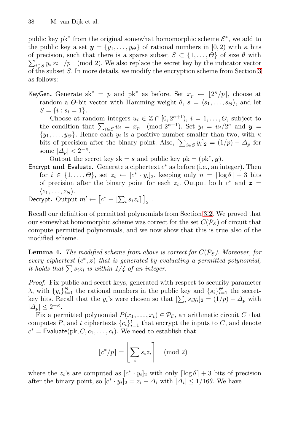public key pk<sup>∗</sup> from the original somewhat homomorphic scheme  $\mathcal{E}^*$ , we add to the public key a set  $y = \{y_1, \ldots, y_{\Theta}\}\$  of rational numbers in [0, 2) with  $\kappa$  bits  $\sum_{i \in S} y_i \approx 1/p \pmod{2}$ . We also replace the secret key by the indicator vector of precision, such that there is a sparse subset  $S \subset \{1, ..., \Theta\}$  of size  $\theta$  with of the subset S. In more details, we modify the encryption scheme from Section 3 as follows:

KeyGen. Generate sk<sup>\*</sup> = p and pk<sup>\*</sup> as before. Set  $x_p \leftarrow \lfloor 2^{\kappa}/p \rfloor$ , choose at random a  $\Theta$ -bit vector with Hamming weight  $\theta$ ,  $\mathbf{s} = \langle s_1, \ldots, s_{\Theta} \rangle$ , and let  $S = \{i : s_i = 1\}.$ 

Choose at random integers  $u_i \in \mathbb{Z} \cap [0, 2^{\kappa+1}), i = 1, \ldots, \Theta$ , subject to the condition that  $\sum_{i \in S} u_i = x_p \pmod{2^{\kappa+1}}$ . Set  $y_i = u_i/2^{\kappa}$  and  $y =$  $\{y_1,\ldots,y_\Theta\}$ . Hence each  $y_i$  is a positive number smaller than two, with  $\kappa$ bits of precision after the binary point. Also,  $[\sum_{i \in S} y_i]_2 = (1/p) - \Delta_p$  for some  $|\Delta_p| < 2^{-\kappa}$ .

Output the secret key sk =  $s$  and public key pk = (pk<sup>\*</sup>,  $y$ ).

Encrypt and Evaluate. Generate a ciphertext  $c^*$  as before (i.e., an integer). Then for  $i \in \{1,\ldots,\Theta\}$ , set  $z_i \leftarrow [c^* \cdot y_i]_2$ , keeping only  $n = \lceil \log \theta \rceil + 3$  bits of precision after the binary point for each  $z_i$ . Output both  $c^*$  and  $z =$  $\langle z_1,\ldots,z_{\Theta}\rangle.$ 

$$
\text{Decrypt. Output } m' \leftarrow \left[c^* - \left[\sum_i s_i z_i\right]\right]_2.
$$

Recall our definition of permitted polynomials from Section 3.2. We proved that our somewhat homomorphic scheme was correct for the set  $C(\mathcal{P}_{\mathcal{E}})$  of circuit that compute permitted polynomials, and we now show that this is true also of the modified scheme.

**Lemma 4.** *The modified scheme from above is correct for*  $C(\mathcal{P}_{\varepsilon})$ *. Moreover, for every ciphertext* (c∗, *z*) *that is generated by evaluating a permitted polynomial, it holds that*  $\sum s_i z_i$  *is within 1/4 of an integer.* 

*Proof.* Fix public and secret keys, generated with respect to security parameter λ, with  $\{y_i\}_{i=1}^{\Theta}$  the rational numbers in the public key and  $\{s_i\}_{i=1}^{\Theta}$  the secretkey bits. Recall that the  $y_i$ 's were chosen so that  $[\sum_i s_i y_i]_2 = (1/p) - \Delta_p$  with  $|\Delta_p| \leq 2^{-\kappa}$ .

Fix a permitted polynomial  $P(x_1,...,x_t) \in \mathcal{P}_{\mathcal{E}}$ , an arithmetic circuit C that computes P, and t ciphertexts  ${c_i}_{i=1}^t$  that encrypt the inputs to C, and denote  $c^*$  = Evaluate(pk,  $C, c_1, \ldots, c_t$ ). We need to establish that

$$
\lfloor c^*/p \rceil = \left\lfloor \sum_i s_i z_i \right\rceil \pmod{2}
$$

where the  $z_i$ 's are computed as  $[c^* \cdot y_i]_2$  with only  $\lceil \log \theta \rceil + 3$  bits of precision after the binary point, so  $[c^* \cdot y_i]_2 = z_i - \Delta_i$  with  $|\Delta_i| \leq 1/16\theta$ . We have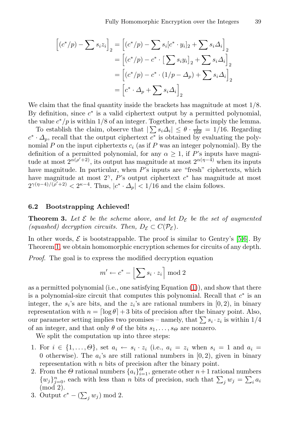$$
\begin{aligned}\n\left[ (c^*/p) - \sum s_i z_i \right]_2 &= \left[ (c^*/p) - \sum s_i [c^* \cdot y_i]_2 + \sum s_i \Delta_i \right]_2 \\
&= \left[ (c^*/p) - c^* \cdot \left[ \sum s_i y_i \right]_2 + \sum s_i \Delta_i \right]_2 \\
&= \left[ (c^*/p) - c^* \cdot (1/p - \Delta_p) + \sum s_i \Delta_i \right]_2 \\
&= \left[ c^* \cdot \Delta_p + \sum s_i \Delta_i \right]_2\n\end{aligned}
$$

We claim that the final quantity inside the brackets has magnitude at most  $1/8$ . By definition, since  $c^*$  is a valid ciphertext output by a permitted polynomial, the value  $c^*/p$  is within 1/8 of an integer. Together, these facts imply the lemma.

<span id="page-15-0"></span>To establish the claim, observe that  $|\sum s_i \Delta_i| \leq \theta \cdot \frac{1}{16\theta} = 1/16$ . Regarding  $c^* \cdot \Delta_p$ , recall that the output ciphertext  $c^*$  is obtained by evaluating the polynomial  $P$  on the input ciphertexts  $c_i$  (as if  $P$  was an integer polynomial). By the definition of a permitted polynomial, for any  $\alpha \geq 1$ , if P's inputs have magnitude at most  $2^{\alpha(\rho'+2)}$ , its output has magnitude at most  $2^{\alpha(\eta-4)}$  when its inputs have magnitude. In particular, when P's inputs are "fresh" ciphertexts, which have magnitude at most  $2^{\gamma}$ , P's output [c](#page-19-14)iphertext  $c^*$  has magnitude at most  $2^{\gamma(\eta-4)/(\rho'+2)} < 2^{\kappa-4}$ . Thus,  $|c^* \cdot \Delta_p| < 1/16$  and the claim follows.

#### **6.2 Bootstrapping Achieved!**

**Theorem 3.** Let  $\mathcal{E}$  be the scheme above, and let  $D_{\mathcal{E}}$  be the set of augmented *(squashed) decryption circuits. Then,*  $D_{\mathcal{E}} \subset C(\mathcal{P}_{\mathcal{E}})$  $D_{\mathcal{E}} \subset C(\mathcal{P}_{\mathcal{E}})$ *.* 

In other words,  $\mathcal E$  is bootstrappable. The proof is similar to Gentry's [5,6]. By Theorem 1, we obtain homomorphic encryption schemes for circuits of any depth.

*Proof.* The goal is to express the modified decryption equation

$$
m' \leftarrow c^* - \left\lfloor \sum s_i \cdot z_i \right\rceil \bmod 2
$$

as a permitted polynomial (i.e., one satisfying Equation (1)), and show that there is a polynomial-size circuit that computes this polynomial. Recall that  $c^*$  is an integer, the  $s_i$ 's are bits, and the  $z_i$ 's are rational numbers in  $(0, 2)$ , in binary representation with  $n = \lfloor \log \theta \rfloor + 3$  bits of precision after the binary point. Also, our parameter setting implies two promises – namely, that  $\sum s_i \cdot z_i$  is within  $1/4$ of an integer, and that only  $\theta$  of the bits  $s_1, \ldots, s_{\Theta}$  are nonzero.

We split the computation up into three steps:

- 1. For  $i \in \{1,\ldots,\Theta\}$ , set  $a_i \leftarrow s_i \cdot z_i$  (i.e.,  $a_i = z_i$  when  $s_i = 1$  and  $a_i =$ 0 otherwise). The  $a_i$ 's are still rational numbers in  $[0, 2)$ , given in binary representation with  $n$  bits of precision after the binary point.
- 2. From the  $\Theta$  rational numbers  $\{a_i\}_{i=1}^{\Theta}$ , generate other  $n+1$  rational numbers  $\{w_j\}_{j=0}^n$ , each with less than n bits of precision, such that  $\sum_j w_j = \sum_i a_i$ (mod 2).
- 3. Output  $c^* (\sum_j w_j) \bmod 2$ .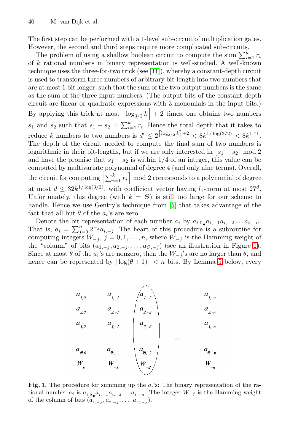The first step can be performed with a 1-level sub-circuit of multiplication gates. However, the second and third steps require more complicated sub-circuits.

The problem of using a shallow boolean circuit to compute the sum  $\sum_{i=1}^{k} r_i$ of k rational numbers in binary representation is well-studied. A well-known technique uses the three-for-two trick (see [11]), whereby a constant-depth circuit is used to transform three numbers of arbitrary bit-length into two numbers that are at most 1 bit longer, such that the sum of the two output numbers is the same as the sum of the three input numbers. (The output bits of the constant-depth circuit are linear or quadratic expressions with 3 monomials in the input bits.) By applying this trick at most  $\left[\log_{3/2} k\right] + 2$  times, one obtains two numbers  $s_1$  and  $s_2$  such that  $s_1 + s_2 = \sum_{i=1}^k r_i$ . Hence the total depth that it takes to reduce k numbers to two numbers is  $d' \leq 2^{\lceil \log_{3/2} k \rceil + 2} < 8k^{1/\log(3/2)} < 8k^{1.71}$ . The depth of the circuit nee[de](#page-19-14)d to compute the final sum of two numbers is logarithmic in their bit-lengths, but if we are only interested in  $|s_1 + s_2| \mod 2$ and have the promise that  $s_1 + s_2$  is within 1/4 of an integer, this value can be computed by multivariate polynomial of degree 4 (and only nine terms). Overall, the circuit for com[p](#page-16-0)uting  $\left|\sum_{i=1}^k r_i\right| \mod 2$  corresponds to [a](#page-16-0) polynomial of degree at most  $d \leq 32k^{1/\log(3/2)}$ , with coefficient vector having  $l_1$ -norm at most  $27^d$ . Unfortunately, this degree (with  $k = \Theta$ ) is [st](#page-17-0)ill too large for our scheme to handle. Hence we use Gentry's technique from [5] that takes advantage of the fact that all but  $\theta$  of the  $a_i$ 's are zero.

Denote the bit representation of each number  $a_i$  by  $a_{i,0}a_{i,-1}a_{i,-2} \ldots a_{i,-n}$ . That is,  $a_i = \sum_{j=0}^n 2^{-j} a_{i,-j}$ . The heart of this procedure is a subroutine for computing integers  $W_{-j}$ ,  $j = 0, 1, \ldots, n$ , where  $W_{-j}$  is the Hamming weight of the "column" of bits  $(a_{1,-j}, a_{2,-j},..., a_{\Theta,-j})$  (see an illustration in Figure 1). Since at most  $\theta$  of the  $a_i$ 's are nonzero, then the  $W_{-i}$ 's are no larger than  $\theta$ , and hence can be represented by  $\lceil \log(\theta + 1) \rceil < n$  bits. By Lemma 5 below, every



<span id="page-16-0"></span>**Fig. 1.** The procedure for summing up the  $a_i$ 's: The binary representation of the rational number  $a_i$  is  $a_{i,0} a_{i,-1} a_{i,-2} \ldots a_{i,-n}$ . The integer  $W_{-j}$  is the Hamming weight of the column of bits  $(a_{1,-i}, a_{2,-i}, \ldots, a_{\Theta,-i}).$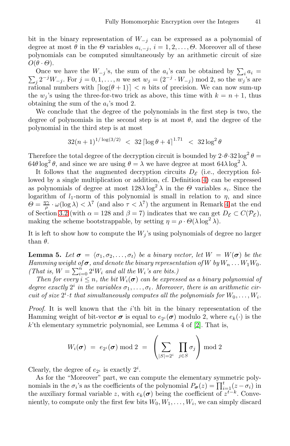bit in the binary representation of  $W_{-j}$  can be expressed as a polynomial of degree at most  $\theta$  in the  $\Theta$  variables  $a_{i,-j}$ ,  $i = 1, 2, \ldots, \Theta$ . Moreover all of these polynomials can be computed simultaneously by an arithmetic circuit of size  $O(\theta \cdot \Theta)$ .

Once we have the  $W_{-j}$ 's, the sum of the  $a_i$ 's can be obtained by  $\sum_i a_i =$  $\sum_{j} 2^{-j}W_{-j}$ . For  $j = 0, 1, ..., n$  we set  $w_j = (2^{-j} \cdot W_{-j}) \mod 2$ , so the  $w_j$ 's are rational numbers with  $\lceil \log(\theta + 1) \rceil < n$  bits of precision. We can now sum-up the  $w_i$ 's using the three-for-two trick as above, this time with  $k = n + 1$ , thus obtaining the sum of the  $a_i$ 's mod 2.

We conclude that the degree of the polynomials in the first step is two, the degree of polynomials in the second st[ep](#page-3-1) is at most  $\theta$ , and the degree of the polynomial in the third step is at most

$$
32(n+1)^{1/\log(3/2)} < 32 \left[ \log \theta + 4 \right]^{1.71} < 32 \log^2 \theta
$$

Therefore the total degree of the decryption circuit is bounded by  $2 \cdot \theta \cdot 32 \log^2 \theta =$  $64\theta \log^2 \theta$ , and since we are using  $\theta = \lambda$  we have degree at most  $64\lambda \log^2 \lambda$ .

<span id="page-17-0"></span>It follows that the augmented decryption circuits  $D_{\mathcal{E}}$  (i.e., decryption followed by a single multiplication or addition, cf. Definition 4) can be expressed as polynomials of degree at most  $128\lambda \log^2 \lambda$  in the  $\Theta$  variables  $s_i$ . Since the logarithm of  $l_1$ -norm of this polynomial is small in relation to  $\eta$ , and since  $\Theta = \frac{\eta \gamma}{\rho} \cdot \omega(\log \lambda) < \lambda^7$  (and also  $\tau < \lambda^7$ ) the argument in Remark 4 at the end of Section 3.2 (with  $\alpha = 128$  and  $\beta = 7$ ) indicates that we can get  $D_{\mathcal{E}} \subset C(\mathcal{P}_{\mathcal{E}})$ , making the scheme bootstrappable, by setting  $\eta = \rho \cdot \Theta(\lambda \log^2 \lambda)$ .

It is left to show how to compute the  $W_j$ 's using polynomials of degree no larger than  $\theta$ .

**Lemma 5.** Let  $\boldsymbol{\sigma} = \langle \sigma_1, \sigma_2, \ldots, \sigma_t \rangle$  be a binary vector, let  $W = W(\boldsymbol{\sigma})$  be the *Hamming weight of*  $\sigma$ *, and denote the b[ina](#page-18-1)ry representation of* W *by*  $W_n \ldots W_1 W_0$ . *(That is,*  $W = \sum_{i=0}^{n} 2^i W_i$  *and all the*  $W_i$ *'s are bits.)* 

*Then for every*  $i \leq n$ *, the bit*  $W_i(\sigma)$  *can be expressed as a binary polynomial of* degree exactly  $2^i$  in the variables  $\sigma_1, \ldots, \sigma_t$ . Moreover, there is an arithmetic cir*cuit of size*  $2^i \cdot t$  *that simultaneously computes all the polynomials for*  $W_0, \ldots, W_i$ *.* 

*Proof.* It is well known that the *i*'th bit in the binary representation of the Hamming weight of bit-vector  $\sigma$  is equal to  $e_{2i}(\sigma)$  modulo 2, where  $e_k(\cdot)$  is the  $k$ 'th elementary symmetric polynomial, see Lemma 4 of  $[2]$ . That is,

$$
W_i(\boldsymbol{\sigma}) \;=\; e_{2^i}(\boldsymbol{\sigma}) \bmod 2 \;=\; \left( \sum_{|S|=2^i} \; \prod_{j \in S} \sigma_j \right) \bmod 2
$$

Clearly, the degree of  $e_{2^i}$  is exactly  $2^i$ .

As for the "Moreover" part, we can compute the elementary symmetric polynomials in the  $\sigma_i$ 's as the coefficients of the polynomial  $P_{\sigma}(z) = \prod_{i=1}^{t} (z - \sigma_i)$  in the auxiliary formal variable z, with  $e_k(\sigma)$  being the coefficient of  $z^{t-k}$ . Conveniently, to compute only the first few bits  $W_0, W_1, \ldots, W_i$ , we can simply discard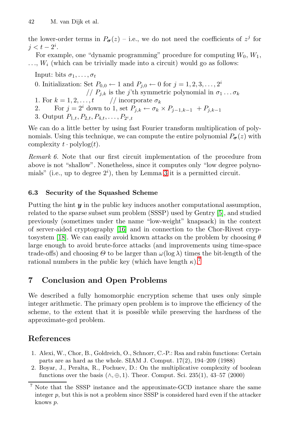the lower-order terms in  $P_{\sigma}(z)$  – i.e., we do not need the coefficients of  $z^{j}$  for  $j < t-2^i$ .

For example, one "dynamic programming" procedure for computing  $W_0, W_1$ ,  $\dots$ ,  $W_i$  (which can be trivially made into a circuit) would go as follows:

Input: bits  $\sigma_1, \ldots, \sigma_t$ 

- 0. Initialization: Set  $P_{0,0} \leftarrow 1$  and  $P_{j,0} \leftarrow 0$  for  $j = 1, 2, 3, \ldots, 2^i$
- //  $P_{j,k}$  is the j'th symmetric polynomial in  $\sigma_1 \dots \sigma_k$
- 1. For  $k = 1, 2, \ldots, t$  // incorporate  $\sigma_k$
- 2. F[o](#page-5-3)r  $j = 2^i$  down to 1, set  $P_{j,k} \leftarrow \sigma_k \times P_{j-1,k-1} + P_{j,k-1}$
- 3. Output  $P_{1,t}, P_{2,t}, P_{4,t}, \ldots, P_{2^i,t}$

We can do a little better by using fast Fourier transform multiplication of polynomials. Using this technique, we can compute the entire polynomial  $P_{\sigma}(z)$  with complexity  $t \cdot \text{polylog}(t)$ .

*Remark 6.* Note that our first circuit imple[me](#page-19-14)ntation of the procedure from above is no[t "s](#page-19-15)hallow". Nonetheless, since it computes only "low degree polynomials" (i.e., up to degree  $2^i$ ), then by Lemma 3 it is a permitted circuit.

## **6.3 Security of the Squashed Sc[he](#page-18-2)me**

Putting the hint *y* in the public key induces another computational assumption, related to the sparse subset sum problem (SSSP) used by Gentry [5], and studied previously (sometimes under the name "low-weight" knapsack) in the context of server-aided cryptography [16] and in connection to the Chor-Rivest cryptosystem [18]. We can easily avoid known attacks on the problem by choosing  $\theta$ large enough to avoid brute-force attacks (and improvements using time-space trade-offs) and choosing  $\Theta$  to be larger than  $\omega(\log \lambda)$  times the bit-length of the rational numbers in the public key (which have length  $\kappa$ ).<sup>7</sup>

# <span id="page-18-0"></span>**7 Conclusion and Open Problems**

<span id="page-18-1"></span>We described a fully homomorphic encryption scheme that uses only simple integer arithmetic. The primary open problem is to improve the efficiency of the scheme, to the extent that it is possible while preserving the hardness of the approximate-gcd problem.

## <span id="page-18-2"></span>**References**

- 1. Alexi, W., Chor, B., Goldreich, O., Schnorr, C.-P.: Rsa and rabin functions: Certain parts are as hard as the whole. SIAM J. Comput. 17(2), 194–209 (1988)
- 2. Boyar, J., Peralta, R., Pochuev, D.: On the multiplicative complexity of boolean functions over the basis  $(\wedge, \oplus, 1)$ . Theor. Comput. Sci. 235(1), 43–57 (2000)

<sup>7</sup> Note that the SSSP instance and the approximate-GCD instance share the same integer  $p$ , but this is not a problem since SSSP is considered hard even if the attacker knows p.